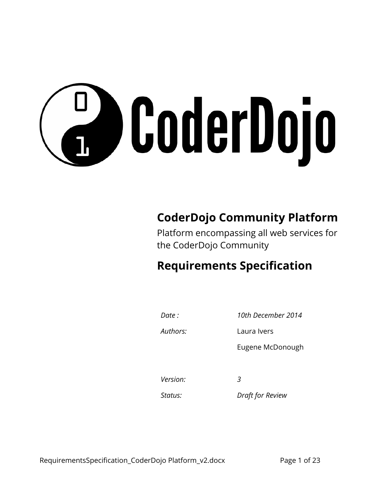# **RoderDojo**

## **CoderDojo Community Platform**

Platform encompassing all web services for the CoderDojo Community

## **Requirements Specification**

| Date :   | 10th December 2014 |
|----------|--------------------|
| Authors: | Laura Ivers        |
|          | Eugene McDonough   |
|          |                    |
| Version: | 3                  |
| Status:  | Draft for Review   |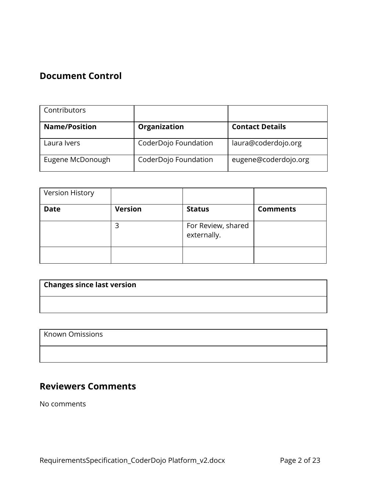## **Document Control**

| Contributors         |                      |                        |
|----------------------|----------------------|------------------------|
| <b>Name/Position</b> | Organization         | <b>Contact Details</b> |
| Laura lvers          | CoderDojo Foundation | laura@coderdojo.org    |
| Eugene McDonough     | CoderDojo Foundation | eugene@coderdojo.org   |

| <b>Version History</b> |                |                                   |                 |
|------------------------|----------------|-----------------------------------|-----------------|
| <b>Date</b>            | <b>Version</b> | <b>Status</b>                     | <b>Comments</b> |
|                        | 3              | For Review, shared<br>externally. |                 |
|                        |                |                                   |                 |

**Changes since last version**

Known Omissions

## **Reviewers Comments**

No comments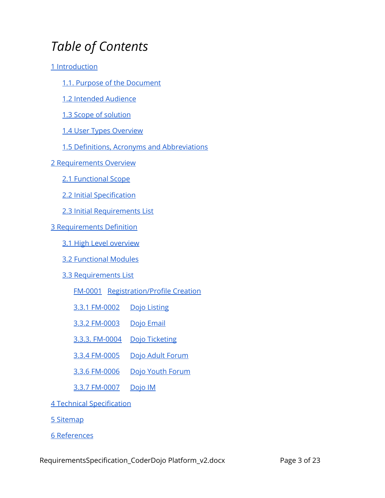## *Table of Contents*

### 1 Introduction

- 1.1. Purpose of the [Document](#page-3-0)
- 1.2 Intended [Audience](#page-3-1)
- 1.3 Scope of solution
- 1.4 User Types Overview
- 1.5 Definitions, Acronyms and Abbreviations
- 2 [Requirements](#page-6-0) Overview
	- 2.1 [Functional](#page-6-1) Scope
	- 2.2 Initial Specification
	- 2.3 Initial Requirements List

#### 3 [Requirements](#page-8-0) Definition

- 3.1 High Level [overview](#page-8-1)
- 3.2 [Functional](#page-10-0) Modules
- 3.3 Requirements List
	- [FM-0001](#page-11-0) [Registration/Profile](#page-11-0) Creation
	- 3.3.1 [FM-0002](#page-12-0) Dojo [Listing](#page-12-0)
	- 3.3.2 FM-0003 Dojo Email
	- 3.3.3. FM-0004 Dojo Ticketing
	- 3.3.4 FM-0005 Dojo Adult Forum
	- 3.3.6 FM-0006 Dojo Youth Forum
	- 3.3.7 FM-0007 Dojo IM
- 4 Technical [Specification](#page-20-0)
- 5 Sitemap
- 6 References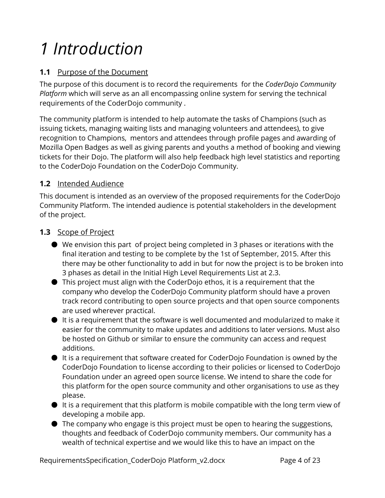# *1 Introduction*

## <span id="page-3-0"></span>**1.1** Purpose of the Document

The purpose of this document is to record the requirements for the *CoderDojo Community Platform* which will serve as an all encompassing online system for serving the technical requirements of the CoderDojo community .

The community platform is intended to help automate the tasks of Champions (such as issuing tickets, managing waiting lists and managing volunteers and attendees), to give recognition to Champions, mentors and attendees through profile pages and awarding of Mozilla Open Badges as well as giving parents and youths a method of booking and viewing tickets for their Dojo. The platform will also help feedback high level statistics and reporting to the CoderDojo Foundation on the CoderDojo Community.

## <span id="page-3-1"></span>**1.2** Intended Audience

This document is intended as an overview of the proposed requirements for the CoderDojo Community Platform. The intended audience is potential stakeholders in the development of the project.

### **1.3** Scope of Project

- We envision this part of project being completed in 3 phases or iterations with the final iteration and testing to be complete by the 1st of September, 2015. After this there may be other functionality to add in but for now the project is to be broken into 3 phases as detail in the Initial High Level Requirements List at 2.3.
- This project must align with the CoderDojo ethos, it is a requirement that the company who develop the CoderDojo Community platform should have a proven track record contributing to open source projects and that open source components are used wherever practical.
- It is a requirement that the software is well documented and modularized to make it easier for the community to make updates and additions to later versions. Must also be hosted on Github or similar to ensure the community can access and request additions.
- It is a requirement that software created for CoderDojo Foundation is owned by the CoderDojo Foundation to license according to their policies or licensed to CoderDojo Foundation under an agreed open source license. We intend to share the code for this platform for the open source community and other organisations to use as they please.
- It is a requirement that this platform is mobile compatible with the long term view of developing a mobile app.
- The company who engage is this project must be open to hearing the suggestions, thoughts and feedback of CoderDojo community members. Our community has a wealth of technical expertise and we would like this to have an impact on the

RequirementsSpecification\_CoderDojo Platform\_v2.docx Page 4 of 23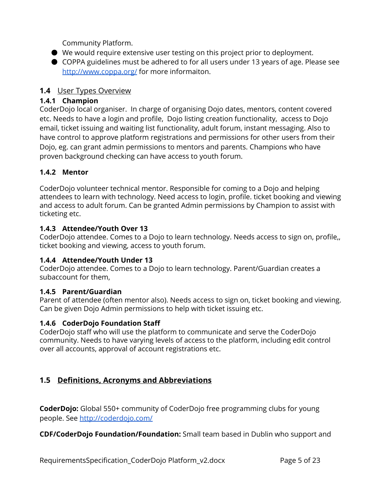Community Platform.

- We would require extensive user testing on this project prior to deployment.
- COPPA guidelines must be adhered to for all users under 13 years of age. Please see <http://www.coppa.org/> for more informaiton.

## **1.4** User Types Overview

## **1.4.1 Champion**

CoderDojo local organiser. In charge of organising Dojo dates, mentors, content covered etc. Needs to have a login and profile, Dojo listing creation functionality, access to Dojo email, ticket issuing and waiting list functionality, adult forum, instant messaging. Also to have control to approve platform registrations and permissions for other users from their Dojo, eg. can grant admin permissions to mentors and parents. Champions who have proven background checking can have access to youth forum.

## **1.4.2 Mentor**

CoderDojo volunteer technical mentor. Responsible for coming to a Dojo and helping attendees to learn with technology. Need access to login, profile. ticket booking and viewing and access to adult forum. Can be granted Admin permissions by Champion to assist with ticketing etc.

## **1.4.3 Attendee/Youth Over 13**

CoderDojo attendee. Comes to a Dojo to learn technology. Needs access to sign on, profile,, ticket booking and viewing, access to youth forum.

## **1.4.4 Attendee/Youth Under 13**

CoderDojo attendee. Comes to a Dojo to learn technology. Parent/Guardian creates a subaccount for them,

## **1.4.5 Parent/Guardian**

Parent of attendee (often mentor also). Needs access to sign on, ticket booking and viewing. Can be given Dojo Admin permissions to help with ticket issuing etc.

## **1.4.6 CoderDojo Foundation Staff**

CoderDojo staff who will use the platform to communicate and serve the CoderDojo community. Needs to have varying levels of access to the platform, including edit control over all accounts, approval of account registrations etc.

## **1.5 Definitions, Acronyms and Abbreviations**

**CoderDojo:**Global 550+ community of CoderDojo free programming clubs for young people. See <http://coderdojo.com/>

**CDF/CoderDojo Foundation/Foundation:**Small team based in Dublin who support and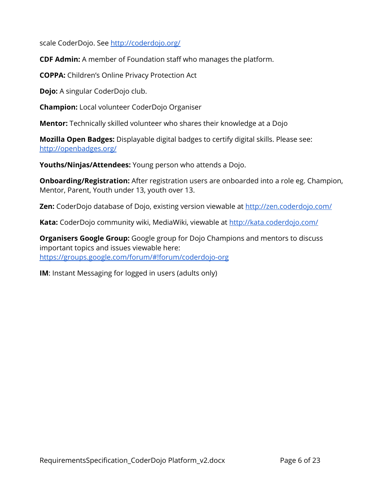scale CoderDojo. See <http://coderdojo.org/>

**CDF Admin:** A member of Foundation staff who manages the platform.

**COPPA:** Children's Online Privacy Protection Act

**Dojo:**A singular CoderDojo club.

**Champion:**Local volunteer CoderDojo Organiser

**Mentor:** Technically skilled volunteer who shares their knowledge at a Dojo

**Mozilla Open Badges:** Displayable digital badges to certify digital skills. Please see: <http://openbadges.org/>

**Youths/Ninjas/Attendees:**Young person who attends a Dojo.

**Onboarding/Registration:** After registration users are onboarded into a role eg. Champion, Mentor, Parent, Youth under 13, youth over 13.

**Zen:** CoderDojo database of Dojo, existing version viewable at <http://zen.coderdojo.com/>

Kata: CoderDojo community wiki, MediaWiki, viewable at <http://kata.coderdojo.com/>

**Organisers Google Group:**Google group for Dojo Champions and mentors to discuss important topics and issues viewable here: <https://groups.google.com/forum/#!forum/coderdojo-org>

**IM**: Instant Messaging for logged in users (adults only)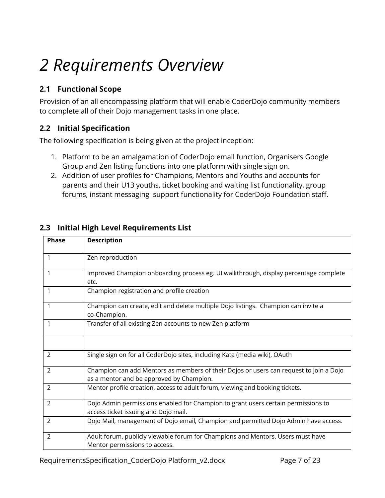## <span id="page-6-0"></span>*2 Requirements Overview*

## <span id="page-6-1"></span>**2.1 Functional Scope**

Provision of an all encompassing platform that will enable CoderDojo community members to complete all of their Dojo management tasks in one place.

## **2.2 Initial Specification**

The following specification is being given at the project inception:

- 1. Platform to be an amalgamation of CoderDojo email function, Organisers Google Group and Zen listing functions into one platform with single sign on.
- 2. Addition of user profiles for Champions, Mentors and Youths and accounts for parents and their U13 youths, ticket booking and waiting list functionality, group forums, instant messaging support functionality for CoderDojo Foundation staff.

| <b>Phase</b>   | <b>Description</b>                                                                                                                 |
|----------------|------------------------------------------------------------------------------------------------------------------------------------|
| 1              | Zen reproduction                                                                                                                   |
| 1              | Improved Champion onboarding process eg. UI walkthrough, display percentage complete<br>etc.                                       |
| 1              | Champion registration and profile creation                                                                                         |
| 1              | Champion can create, edit and delete multiple Dojo listings. Champion can invite a<br>co-Champion.                                 |
| 1              | Transfer of all existing Zen accounts to new Zen platform                                                                          |
|                |                                                                                                                                    |
| $\overline{2}$ | Single sign on for all CoderDojo sites, including Kata (media wiki), OAuth                                                         |
| $\mathcal{P}$  | Champion can add Mentors as members of their Dojos or users can request to join a Dojo<br>as a mentor and be approved by Champion. |
| $\mathcal{P}$  | Mentor profile creation, access to adult forum, viewing and booking tickets.                                                       |
| $\overline{2}$ | Dojo Admin permissions enabled for Champion to grant users certain permissions to<br>access ticket issuing and Dojo mail.          |
| $\overline{2}$ | Dojo Mail, management of Dojo email, Champion and permitted Dojo Admin have access.                                                |
| $\overline{2}$ | Adult forum, publicly viewable forum for Champions and Mentors. Users must have<br>Mentor permissions to access.                   |

## **2.3 Initial High Level Requirements List**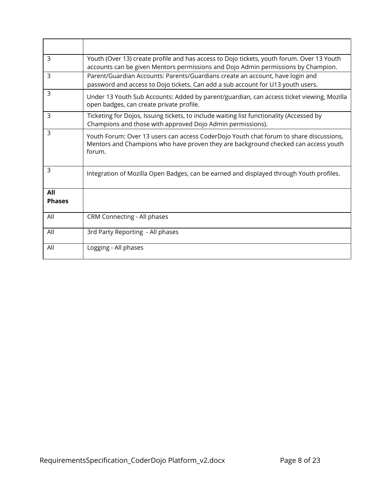| 3                    | Youth (Over 13) create profile and has access to Dojo tickets, youth forum. Over 13 Youth<br>accounts can be given Mentors permissions and Dojo Admin permissions by Champion.         |
|----------------------|----------------------------------------------------------------------------------------------------------------------------------------------------------------------------------------|
| 3                    | Parent/Guardian Accounts: Parents/Guardians create an account, have login and<br>password and access to Dojo tickets. Can add a sub account for U13 youth users.                       |
| 3                    | Under 13 Youth Sub Accounts: Added by parent/guardian, can access ticket viewing, Mozilla<br>open badges, can create private profile.                                                  |
| 3                    | Ticketing for Dojos, Issuing tickets, to include waiting list functionality (Accessed by<br>Champions and those with approved Dojo Admin permissions).                                 |
| 3                    | Youth Forum: Over 13 users can access CoderDojo Youth chat forum to share discussions,<br>Mentors and Champions who have proven they are background checked can access youth<br>forum. |
| 3                    | Integration of Mozilla Open Badges, can be earned and displayed through Youth profiles.                                                                                                |
| All<br><b>Phases</b> |                                                                                                                                                                                        |
| All                  | CRM Connecting - All phases                                                                                                                                                            |
| All                  | 3rd Party Reporting - All phases                                                                                                                                                       |
| All                  | Logging - All phases                                                                                                                                                                   |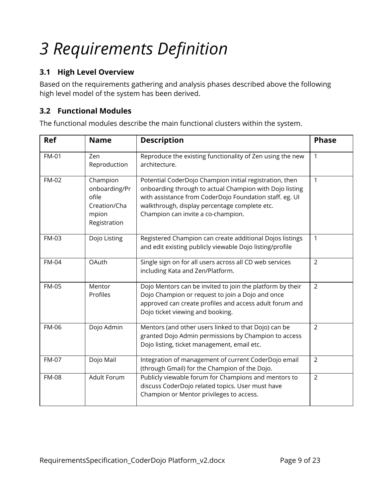# <span id="page-8-0"></span>*3 Requirements Definition*

## <span id="page-8-1"></span>**3.1 High Level Overview**

Based on the requirements gathering and analysis phases described above the following high level model of the system has been derived.

## **3.2 Functional Modules**

The functional modules describe the main functional clusters within the system.

| <b>Ref</b>   | <b>Name</b>                                                                 | <b>Description</b>                                                                                                                                                                                                                                                   | <b>Phase</b>   |
|--------------|-----------------------------------------------------------------------------|----------------------------------------------------------------------------------------------------------------------------------------------------------------------------------------------------------------------------------------------------------------------|----------------|
| <b>FM-01</b> | Zen<br>Reproduction                                                         | Reproduce the existing functionality of Zen using the new<br>architecture.                                                                                                                                                                                           | 1              |
| <b>FM-02</b> | Champion<br>onboarding/Pr<br>ofile<br>Creation/Cha<br>mpion<br>Registration | Potential CoderDojo Champion initial registration, then<br>onboarding through to actual Champion with Dojo listing<br>with assistance from CoderDojo Foundation staff. eg. UI<br>walkthrough, display percentage complete etc.<br>Champion can invite a co-champion. | $\mathbf{1}$   |
| <b>FM-03</b> | Dojo Listing                                                                | Registered Champion can create additional Dojos listings<br>and edit existing publicly viewable Dojo listing/profile                                                                                                                                                 | $\mathbf{1}$   |
| <b>FM-04</b> | OAuth                                                                       | Single sign on for all users across all CD web services<br>including Kata and Zen/Platform.                                                                                                                                                                          | $\overline{2}$ |
| <b>FM-05</b> | Mentor<br>Profiles                                                          | Dojo Mentors can be invited to join the platform by their<br>Dojo Champion or request to join a Dojo and once<br>approved can create profiles and access adult forum and<br>Dojo ticket viewing and booking.                                                         | $\overline{2}$ |
| <b>FM-06</b> | Dojo Admin                                                                  | Mentors (and other users linked to that Dojo) can be<br>granted Dojo Admin permissions by Champion to access<br>Dojo listing, ticket management, email etc.                                                                                                          | $\overline{2}$ |
| <b>FM-07</b> | Dojo Mail                                                                   | Integration of management of current CoderDojo email<br>(through Gmail) for the Champion of the Dojo.                                                                                                                                                                | $\overline{2}$ |
| <b>FM-08</b> | Adult Forum                                                                 | Publicly viewable forum for Champions and mentors to<br>discuss CoderDojo related topics. User must have<br>Champion or Mentor privileges to access.                                                                                                                 | $\overline{2}$ |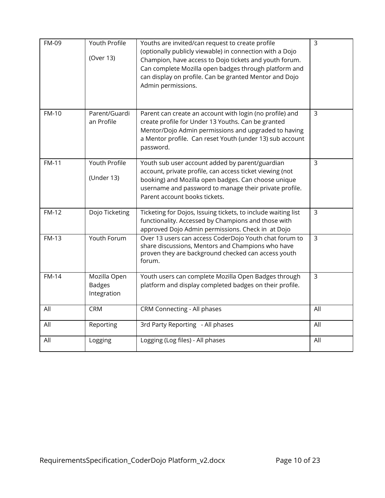| <b>FM-09</b> | Youth Profile<br>(Over 13)                   | Youths are invited/can request to create profile<br>(optionally publicly viewable) in connection with a Dojo<br>Champion, have access to Dojo tickets and youth forum.<br>Can complete Mozilla open badges through platform and<br>can display on profile. Can be granted Mentor and Dojo<br>Admin permissions. | $\overline{3}$ |
|--------------|----------------------------------------------|-----------------------------------------------------------------------------------------------------------------------------------------------------------------------------------------------------------------------------------------------------------------------------------------------------------------|----------------|
| <b>FM-10</b> | Parent/Guardi<br>an Profile                  | Parent can create an account with login (no profile) and<br>create profile for Under 13 Youths. Can be granted<br>Mentor/Dojo Admin permissions and upgraded to having                                                                                                                                          | 3              |
|              |                                              | a Mentor profile. Can reset Youth (under 13) sub account<br>password.                                                                                                                                                                                                                                           |                |
| <b>FM-11</b> | Youth Profile<br>(Under 13)                  | Youth sub user account added by parent/guardian<br>account, private profile, can access ticket viewing (not<br>booking) and Mozilla open badges. Can choose unique<br>username and password to manage their private profile.<br>Parent account books tickets.                                                   | $\overline{3}$ |
| <b>FM-12</b> | Dojo Ticketing                               | Ticketing for Dojos, Issuing tickets, to include waiting list<br>functionality. Accessed by Champions and those with<br>approved Dojo Admin permissions. Check in at Dojo                                                                                                                                       | $\mathsf{3}$   |
| <b>FM-13</b> | Youth Forum                                  | Over 13 users can access CoderDojo Youth chat forum to<br>share discussions, Mentors and Champions who have<br>proven they are background checked can access youth<br>forum.                                                                                                                                    | 3              |
| <b>FM-14</b> | Mozilla Open<br><b>Badges</b><br>Integration | Youth users can complete Mozilla Open Badges through<br>platform and display completed badges on their profile.                                                                                                                                                                                                 | $\overline{3}$ |
| All          | <b>CRM</b>                                   | CRM Connecting - All phases                                                                                                                                                                                                                                                                                     | All            |
| All          | Reporting                                    | 3rd Party Reporting - All phases                                                                                                                                                                                                                                                                                | All            |
| All          | Logging                                      | Logging (Log files) - All phases                                                                                                                                                                                                                                                                                | All            |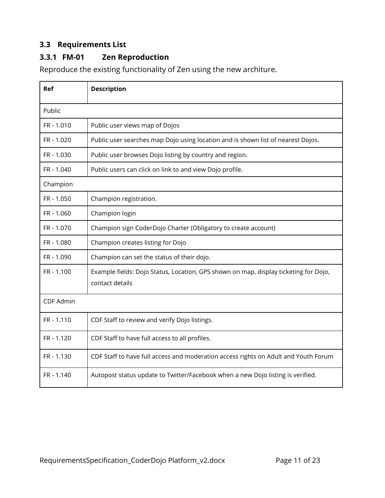## **3.3 Requirements List**

## <span id="page-10-0"></span>**3.3.1 FM-01 Zen Reproduction**

Reproduce the existing functionality of Zen using the new architure.

| Ref          | <b>Description</b>                                                                                      |
|--------------|---------------------------------------------------------------------------------------------------------|
| Public       |                                                                                                         |
| FR-1.010     | Public user views map of Dojos                                                                          |
| FR - 1.020   | Public user searches map Dojo using location and is shown list of nearest Dojos.                        |
| FR - 1.030   | Public user browses Dojo listing by country and region.                                                 |
| FR - 1.040   | Public users can click on link to and view Dojo profile.                                                |
| Champion     |                                                                                                         |
| FR - 1.050   | Champion registration.                                                                                  |
| FR - 1.060   | Champion login                                                                                          |
| FR - 1.070   | Champion sign CoderDojo Charter (Obligatory to create account)                                          |
| FR - 1.080   | Champion creates listing for Dojo                                                                       |
| FR - 1.090   | Champion can set the status of their dojo.                                                              |
| FR-1.100     | Example fields: Dojo Status, Location, GPS shown on map, display ticketing for Dojo,<br>contact details |
| CDF Admin    |                                                                                                         |
| $FR - 1.110$ | CDF Staff to review and verify Dojo listings.                                                           |
| FR-1.120     | CDF Staff to have full access to all profiles.                                                          |
| FR-1.130     | CDF Staff to have full access and moderation access rights on Adult and Youth Forum                     |
| $FR - 1.140$ | Autopost status update to Twitter/Facebook when a new Dojo listing is verified.                         |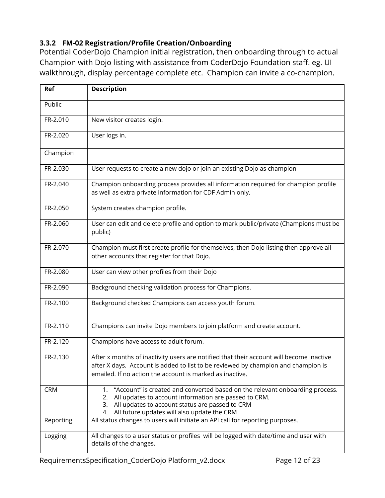## <span id="page-11-0"></span>**3.3.2 FM-02 Registration/Profile Creation/Onboarding**

Potential CoderDojo Champion initial registration, then onboarding through to actual Champion with Dojo listing with assistance from CoderDojo Foundation staff. eg. UI walkthrough, display percentage complete etc. Champion can invite a co-champion.

| Ref        | <b>Description</b>                                                                                                                                                                                                                                           |
|------------|--------------------------------------------------------------------------------------------------------------------------------------------------------------------------------------------------------------------------------------------------------------|
| Public     |                                                                                                                                                                                                                                                              |
| FR-2.010   | New visitor creates login.                                                                                                                                                                                                                                   |
| FR-2.020   | User logs in.                                                                                                                                                                                                                                                |
| Champion   |                                                                                                                                                                                                                                                              |
| FR-2.030   | User requests to create a new dojo or join an existing Dojo as champion                                                                                                                                                                                      |
| FR-2.040   | Champion onboarding process provides all information required for champion profile<br>as well as extra private information for CDF Admin only.                                                                                                               |
| FR-2.050   | System creates champion profile.                                                                                                                                                                                                                             |
| FR-2.060   | User can edit and delete profile and option to mark public/private (Champions must be<br>public)                                                                                                                                                             |
| FR-2.070   | Champion must first create profile for themselves, then Dojo listing then approve all<br>other accounts that register for that Dojo.                                                                                                                         |
| FR-2.080   | User can view other profiles from their Dojo                                                                                                                                                                                                                 |
| FR-2.090   | Background checking validation process for Champions.                                                                                                                                                                                                        |
| FR-2.100   | Background checked Champions can access youth forum.                                                                                                                                                                                                         |
| FR-2.110   | Champions can invite Dojo members to join platform and create account.                                                                                                                                                                                       |
| FR-2.120   | Champions have access to adult forum.                                                                                                                                                                                                                        |
| FR-2.130   | After x months of inactivity users are notified that their account will become inactive<br>after X days. Account is added to list to be reviewed by champion and champion is<br>emailed. If no action the account is marked as inactive.                     |
| <b>CRM</b> | 1. "Account" is created and converted based on the relevant onboarding process.<br>All updates to account information are passed to CRM.<br>2.<br>All updates to account status are passed to CRM<br>3.<br>All future updates will also update the CRM<br>4. |
| Reporting  | All status changes to users will initiate an API call for reporting purposes.                                                                                                                                                                                |
| Logging    | All changes to a user status or profiles will be logged with date/time and user with<br>details of the changes.                                                                                                                                              |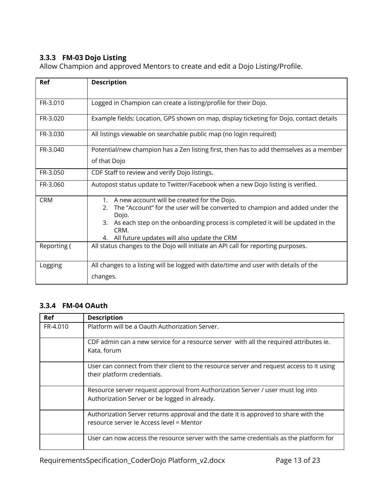#### <span id="page-12-0"></span>**3.3.3 FM-03 Dojo Listing**

Allow Champion and approved Mentors to create and edit a Dojo Listing/Profile.

| Ref         | <b>Description</b>                                                                                                                                                                                                                                                                          |
|-------------|---------------------------------------------------------------------------------------------------------------------------------------------------------------------------------------------------------------------------------------------------------------------------------------------|
| FR-3.010    | Logged in Champion can create a listing/profile for their Dojo.                                                                                                                                                                                                                             |
| FR-3.020    | Example fields: Location, GPS shown on map, display ticketing for Dojo, contact details                                                                                                                                                                                                     |
| FR-3.030    | All listings viewable on searchable public map (no login required)                                                                                                                                                                                                                          |
| FR-3.040    | Potential/new champion has a Zen listing first, then has to add themselves as a member<br>of that Dojo                                                                                                                                                                                      |
| FR-3.050    | CDF Staff to review and verify Dojo listings.                                                                                                                                                                                                                                               |
| FR-3.060    | Autopost status update to Twitter/Facebook when a new Dojo listing is verified.                                                                                                                                                                                                             |
| <b>CRM</b>  | 1. A new account will be created for the Dojo.<br>The "Account" for the user will be converted to champion and added under the<br>2.<br>Dojo.<br>3. As each step on the onboarding process is completed it will be updated in the<br>CRM.<br>4. All future updates will also update the CRM |
| Reporting ( | All status changes to the Dojo will initiate an API call for reporting purposes.                                                                                                                                                                                                            |
| Logging     | All changes to a listing will be logged with date/time and user with details of the<br>changes.                                                                                                                                                                                             |

### **3.3.4 FM-04 OAuth**

| Ref      | <b>Description</b>                                                                                                               |
|----------|----------------------------------------------------------------------------------------------------------------------------------|
| FR-4.010 | Platform will be a Oauth Authorization Server.                                                                                   |
|          | CDF admin can a new service for a resource server with all the required attributes ie.<br>Kata, forum                            |
|          | User can connect from their client to the resource server and request access to it using<br>their platform credentials.          |
|          | Resource server request approval from Authorization Server / user must log into<br>Authorization Server or be logged in already. |
|          | Authorization Server returns approval and the date it is approved to share with the<br>resource server le Access level = Mentor  |
|          | User can now access the resource server with the same credentials as the platform for                                            |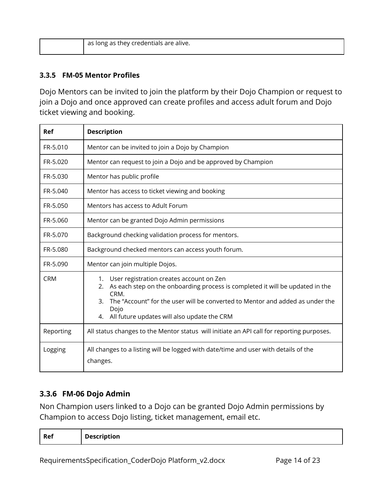| as long as they credentials are alive. |
|----------------------------------------|
|                                        |

#### **3.3.5 FM-05 Mentor Profiles**

Dojo Mentors can be invited to join the platform by their Dojo Champion or request to join a Dojo and once approved can create profiles and access adult forum and Dojo ticket viewing and booking.

| <b>Ref</b> | <b>Description</b>                                                                                                                                                                                                                                                                                      |
|------------|---------------------------------------------------------------------------------------------------------------------------------------------------------------------------------------------------------------------------------------------------------------------------------------------------------|
| FR-5.010   | Mentor can be invited to join a Dojo by Champion                                                                                                                                                                                                                                                        |
| FR-5.020   | Mentor can request to join a Dojo and be approved by Champion                                                                                                                                                                                                                                           |
| FR-5.030   | Mentor has public profile                                                                                                                                                                                                                                                                               |
| FR-5.040   | Mentor has access to ticket viewing and booking                                                                                                                                                                                                                                                         |
| FR-5.050   | Mentors has access to Adult Forum                                                                                                                                                                                                                                                                       |
| FR-5.060   | Mentor can be granted Dojo Admin permissions                                                                                                                                                                                                                                                            |
| FR-5.070   | Background checking validation process for mentors.                                                                                                                                                                                                                                                     |
| FR-5.080   | Background checked mentors can access youth forum.                                                                                                                                                                                                                                                      |
| FR-5.090   | Mentor can join multiple Dojos.                                                                                                                                                                                                                                                                         |
| <b>CRM</b> | User registration creates account on Zen<br>1.<br>2. As each step on the onboarding process is completed it will be updated in the<br>CRM.<br>The "Account" for the user will be converted to Mentor and added as under the<br>$\mathbf{3}$ .<br>Dojo<br>4. All future updates will also update the CRM |
| Reporting  | All status changes to the Mentor status will initiate an API call for reporting purposes.                                                                                                                                                                                                               |
| Logging    | All changes to a listing will be logged with date/time and user with details of the<br>changes.                                                                                                                                                                                                         |

## **3.3.6 FM-06 Dojo Admin**

Non Champion users linked to a Dojo can be granted Dojo Admin permissions by Champion to access Dojo listing, ticket management, email etc.

| Ref<br><b>Description</b> |
|---------------------------|
|---------------------------|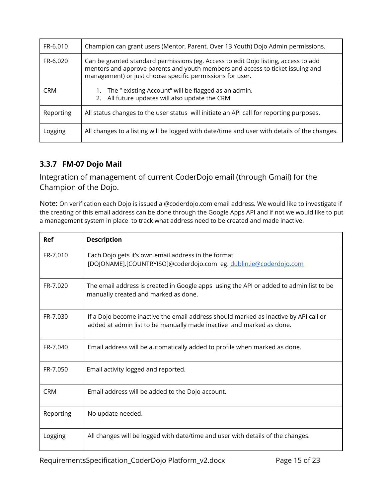| FR-6.010   | Champion can grant users (Mentor, Parent, Over 13 Youth) Dojo Admin permissions.                                                                                                                                                   |
|------------|------------------------------------------------------------------------------------------------------------------------------------------------------------------------------------------------------------------------------------|
| FR-6.020   | Can be granted standard permissions (eg. Access to edit Dojo listing, access to add<br>mentors and approve parents and youth members and access to ticket issuing and<br>management) or just choose specific permissions for user. |
| <b>CRM</b> | The " existing Account" will be flagged as an admin.<br>1.<br>2. All future updates will also update the CRM                                                                                                                       |
| Reporting  | All status changes to the user status will initiate an API call for reporting purposes.                                                                                                                                            |
| Logging    | All changes to a listing will be logged with date/time and user with details of the changes.                                                                                                                                       |

## **3.3.7 FM-07 Dojo Mail**

Integration of management of current CoderDojo email (through Gmail) for the Champion of the Dojo.

Note: On verification each Dojo is issued a @coderdojo.com email address. We would like to investigate if the creating of this email address can be done through the Google Apps API and if not we would like to put a management system in place to track what address need to be created and made inactive.

| Ref        | <b>Description</b>                                                                                                                                           |
|------------|--------------------------------------------------------------------------------------------------------------------------------------------------------------|
| FR-7.010   | Each Dojo gets it's own email address in the format<br>[DOJONAME].[COUNTRYISO]@coderdojo.com eg. dublin.ie@coderdojo.com                                     |
| FR-7.020   | The email address is created in Google apps using the API or added to admin list to be<br>manually created and marked as done.                               |
| FR-7.030   | If a Dojo become inactive the email address should marked as inactive by API call or<br>added at admin list to be manually made inactive and marked as done. |
| FR-7.040   | Email address will be automatically added to profile when marked as done.                                                                                    |
| FR-7.050   | Email activity logged and reported.                                                                                                                          |
| <b>CRM</b> | Email address will be added to the Dojo account.                                                                                                             |
| Reporting  | No update needed.                                                                                                                                            |
| Logging    | All changes will be logged with date/time and user with details of the changes.                                                                              |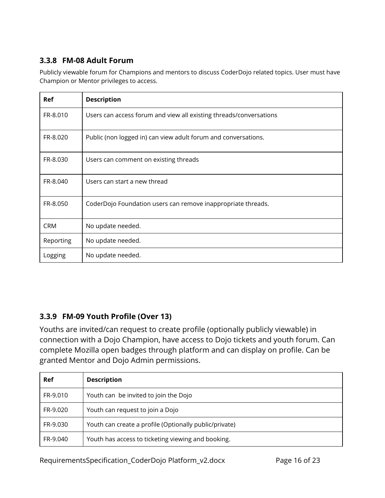## **3.3.8 FM-08 Adult Forum**

Publicly viewable forum for Champions and mentors to discuss CoderDojo related topics. User must have Champion or Mentor privileges to access.

| Ref        | <b>Description</b>                                                 |
|------------|--------------------------------------------------------------------|
| FR-8.010   | Users can access forum and view all existing threads/conversations |
| FR-8.020   | Public (non logged in) can view adult forum and conversations.     |
| FR-8.030   | Users can comment on existing threads                              |
| FR-8.040   | Users can start a new thread                                       |
| FR-8.050   | CoderDojo Foundation users can remove inappropriate threads.       |
| <b>CRM</b> | No update needed.                                                  |
| Reporting  | No update needed.                                                  |
| Logging    | No update needed.                                                  |

## **3.3.9 FM-09 Youth Profile (Over 13)**

Youths are invited/can request to create profile (optionally publicly viewable) in connection with a Dojo Champion, have access to Dojo tickets and youth forum. Can complete Mozilla open badges through platform and can display on profile. Can be granted Mentor and Dojo Admin permissions.

| <b>Ref</b> | <b>Description</b>                                     |
|------------|--------------------------------------------------------|
| FR-9.010   | Youth can be invited to join the Dojo                  |
| FR-9.020   | Youth can request to join a Dojo                       |
| FR-9.030   | Youth can create a profile (Optionally public/private) |
| FR-9.040   | Youth has access to ticketing viewing and booking.     |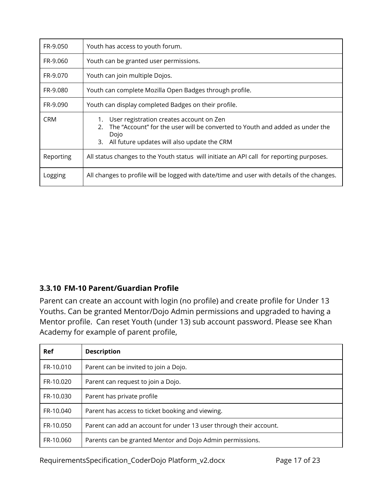| FR-9.050   | Youth has access to youth forum.                                                                                                                                                            |
|------------|---------------------------------------------------------------------------------------------------------------------------------------------------------------------------------------------|
| FR-9.060   | Youth can be granted user permissions.                                                                                                                                                      |
| FR-9.070   | Youth can join multiple Dojos.                                                                                                                                                              |
| FR-9.080   | Youth can complete Mozilla Open Badges through profile.                                                                                                                                     |
| FR-9.090   | Youth can display completed Badges on their profile.                                                                                                                                        |
| <b>CRM</b> | User registration creates account on Zen<br>The "Account" for the user will be converted to Youth and added as under the<br>2.<br>Dojo<br>All future updates will also update the CRM<br>3. |
| Reporting  | All status changes to the Youth status will initiate an API call for reporting purposes.                                                                                                    |
| Logging    | All changes to profile will be logged with date/time and user with details of the changes.                                                                                                  |

## **3.3.10 FM-10 Parent/Guardian Profile**

Parent can create an account with login (no profile) and create profile for Under 13 Youths. Can be granted Mentor/Dojo Admin permissions and upgraded to having a Mentor profile. Can reset Youth (under 13) sub account password. Please see Khan Academy for example of parent profile,

| <b>Ref</b> | <b>Description</b>                                                 |
|------------|--------------------------------------------------------------------|
| FR-10.010  | Parent can be invited to join a Dojo.                              |
| FR-10.020  | Parent can request to join a Dojo.                                 |
| FR-10.030  | Parent has private profile                                         |
| FR-10.040  | Parent has access to ticket booking and viewing.                   |
| FR-10.050  | Parent can add an account for under 13 user through their account. |
| FR-10.060  | Parents can be granted Mentor and Dojo Admin permissions.          |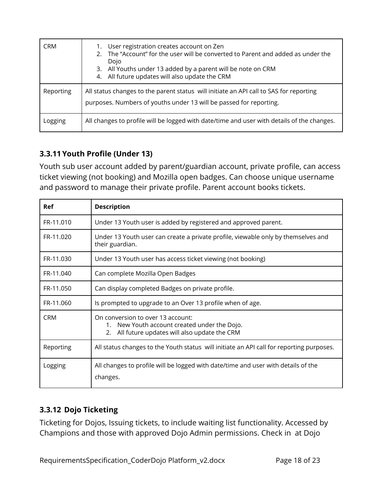| <b>CRM</b> | User registration creates account on Zen<br>1.<br>The "Account" for the user will be converted to Parent and added as under the<br>$2^{1}$<br>Dojo<br>3. All Youths under 13 added by a parent will be note on CRM<br>4. All future updates will also update the CRM |
|------------|----------------------------------------------------------------------------------------------------------------------------------------------------------------------------------------------------------------------------------------------------------------------|
| Reporting  | All status changes to the parent status will initiate an API call to SAS for reporting<br>purposes. Numbers of youths under 13 will be passed for reporting.                                                                                                         |
| Logging    | All changes to profile will be logged with date/time and user with details of the changes.                                                                                                                                                                           |

## **3.3.11Youth Profile (Under 13)**

Youth sub user account added by parent/guardian account, private profile, can access ticket viewing (not booking) and Mozilla open badges. Can choose unique username and password to manage their private profile. Parent account books tickets.

| <b>Ref</b> | <b>Description</b>                                                                                                                     |
|------------|----------------------------------------------------------------------------------------------------------------------------------------|
| FR-11.010  | Under 13 Youth user is added by registered and approved parent.                                                                        |
| FR-11.020  | Under 13 Youth user can create a private profile, viewable only by themselves and<br>their guardian.                                   |
| FR-11.030  | Under 13 Youth user has access ticket viewing (not booking)                                                                            |
| FR-11.040  | Can complete Mozilla Open Badges                                                                                                       |
| FR-11.050  | Can display completed Badges on private profile.                                                                                       |
| FR-11.060  | Is prompted to upgrade to an Over 13 profile when of age.                                                                              |
| <b>CRM</b> | On conversion to over 13 account:<br>1. New Youth account created under the Dojo.<br>All future updates will also update the CRM<br>2. |
| Reporting  | All status changes to the Youth status will initiate an API call for reporting purposes.                                               |
| Logging    | All changes to profile will be logged with date/time and user with details of the<br>changes.                                          |

## **3.3.12 Dojo Ticketing**

Ticketing for Dojos, Issuing tickets, to include waiting list functionality. Accessed by Champions and those with approved Dojo Admin permissions. Check in at Dojo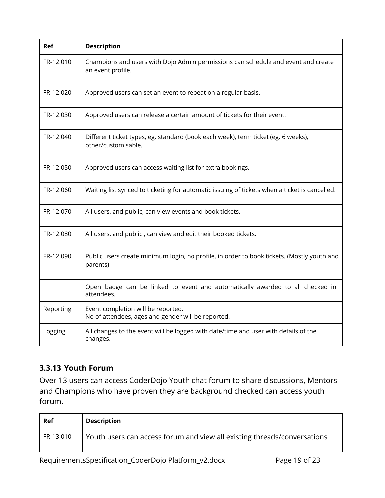| Ref       | <b>Description</b>                                                                                       |
|-----------|----------------------------------------------------------------------------------------------------------|
| FR-12.010 | Champions and users with Dojo Admin permissions can schedule and event and create<br>an event profile.   |
| FR-12.020 | Approved users can set an event to repeat on a regular basis.                                            |
| FR-12.030 | Approved users can release a certain amount of tickets for their event.                                  |
| FR-12.040 | Different ticket types, eg. standard (book each week), term ticket (eg. 6 weeks),<br>other/customisable. |
| FR-12.050 | Approved users can access waiting list for extra bookings.                                               |
| FR-12.060 | Waiting list synced to ticketing for automatic issuing of tickets when a ticket is cancelled.            |
| FR-12.070 | All users, and public, can view events and book tickets.                                                 |
| FR-12.080 | All users, and public, can view and edit their booked tickets.                                           |
| FR-12.090 | Public users create minimum login, no profile, in order to book tickets. (Mostly youth and<br>parents)   |
|           | Open badge can be linked to event and automatically awarded to all checked in<br>attendees.              |
| Reporting | Event completion will be reported.<br>No of attendees, ages and gender will be reported.                 |
| Logging   | All changes to the event will be logged with date/time and user with details of the<br>changes.          |

## **3.3.13 Youth Forum**

Over 13 users can access CoderDojo Youth chat forum to share discussions, Mentors and Champions who have proven they are background checked can access youth forum.

| Ref       | <b>Description</b>                                                       |
|-----------|--------------------------------------------------------------------------|
| FR-13.010 | Youth users can access forum and view all existing threads/conversations |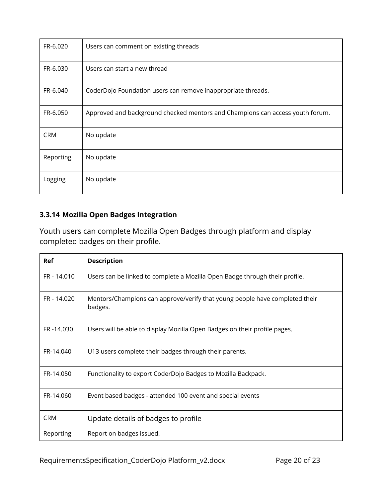| FR-6.020   | Users can comment on existing threads                                         |
|------------|-------------------------------------------------------------------------------|
| FR-6.030   | Users can start a new thread                                                  |
| FR-6.040   | CoderDojo Foundation users can remove inappropriate threads.                  |
| FR-6.050   | Approved and background checked mentors and Champions can access youth forum. |
| <b>CRM</b> | No update                                                                     |
| Reporting  | No update                                                                     |
| Logging    | No update                                                                     |

## **3.3.14 Mozilla Open Badges Integration**

Youth users can complete Mozilla Open Badges through platform and display completed badges on their profile.

| Ref         | <b>Description</b>                                                                     |
|-------------|----------------------------------------------------------------------------------------|
| FR - 14.010 | Users can be linked to complete a Mozilla Open Badge through their profile.            |
| FR - 14.020 | Mentors/Champions can approve/verify that young people have completed their<br>badges. |
| FR-14.030   | Users will be able to display Mozilla Open Badges on their profile pages.              |
| FR-14.040   | U13 users complete their badges through their parents.                                 |
| FR-14.050   | Functionality to export CoderDojo Badges to Mozilla Backpack.                          |
| FR-14.060   | Event based badges - attended 100 event and special events                             |
| <b>CRM</b>  | Update details of badges to profile                                                    |
| Reporting   | Report on badges issued.                                                               |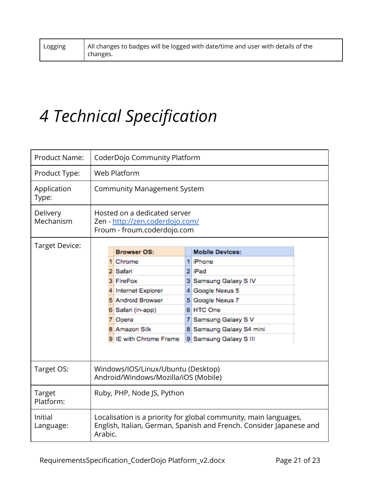# <span id="page-20-0"></span>*4 Technical Specification*

| <b>Product Name:</b>       | CoderDojo Community Platform                                                                                                                             |                                                                                                                                                                                                          |  |  |
|----------------------------|----------------------------------------------------------------------------------------------------------------------------------------------------------|----------------------------------------------------------------------------------------------------------------------------------------------------------------------------------------------------------|--|--|
| Product Type:              | Web Platform                                                                                                                                             |                                                                                                                                                                                                          |  |  |
| Application<br>Type:       | <b>Community Management System</b>                                                                                                                       |                                                                                                                                                                                                          |  |  |
| Delivery<br>Mechanism      | Hosted on a dedicated server<br>Zen - http://zen.coderdojo.com/<br>Froum - froum.coderdojo.com                                                           |                                                                                                                                                                                                          |  |  |
| Target Device:             | <b>Browser OS:</b>                                                                                                                                       |                                                                                                                                                                                                          |  |  |
|                            | 1 Chrome<br>2 Safari<br>3 FireFox<br>4 Internet Explorer<br>5 Android Browser<br>6 Safari (in-app)<br>7 Opera<br>8 Amazon Silk<br>9 IE with Chrome Frame | <b>Mobile Devices:</b><br>1 iPhone<br>2 iPad<br>3 Samsung Galaxy S IV<br>4 Google Nexus 5<br>5 Google Nexus 7<br>6 HTC One<br>7 Samsung Galaxy S V<br>8 Samsung Galaxy S4 mini<br>9 Samsung Galaxy S III |  |  |
| Target OS:                 | Windows/IOS/Linux/Ubuntu (Desktop)<br>Android/Windows/Mozilla/iOS (Mobile)                                                                               |                                                                                                                                                                                                          |  |  |
| <b>Target</b><br>Platform: | Ruby, PHP, Node JS, Python                                                                                                                               |                                                                                                                                                                                                          |  |  |
| Initial<br>Language:       | Localisation is a priority for global community, main languages,<br>English, Italian, German, Spanish and French. Consider Japanese and<br>Arabic.       |                                                                                                                                                                                                          |  |  |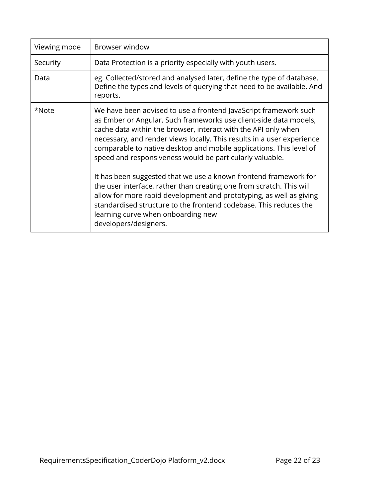| Viewing mode | Browser window                                                                                                                                                                                                                                                                                                                                                                                                                                                                                                                                                                                                                                                                                               |
|--------------|--------------------------------------------------------------------------------------------------------------------------------------------------------------------------------------------------------------------------------------------------------------------------------------------------------------------------------------------------------------------------------------------------------------------------------------------------------------------------------------------------------------------------------------------------------------------------------------------------------------------------------------------------------------------------------------------------------------|
| Security     | Data Protection is a priority especially with youth users.                                                                                                                                                                                                                                                                                                                                                                                                                                                                                                                                                                                                                                                   |
| Data         | eg. Collected/stored and analysed later, define the type of database.<br>Define the types and levels of querying that need to be available. And<br>reports.                                                                                                                                                                                                                                                                                                                                                                                                                                                                                                                                                  |
| *Note        | We have been advised to use a frontend JavaScript framework such<br>as Ember or Angular. Such frameworks use client-side data models,<br>cache data within the browser, interact with the API only when<br>necessary, and render views locally. This results in a user experience<br>comparable to native desktop and mobile applications. This level of<br>speed and responsiveness would be particularly valuable.<br>It has been suggested that we use a known frontend framework for<br>the user interface, rather than creating one from scratch. This will<br>allow for more rapid development and prototyping, as well as giving<br>standardised structure to the frontend codebase. This reduces the |
|              | learning curve when onboarding new<br>developers/designers.                                                                                                                                                                                                                                                                                                                                                                                                                                                                                                                                                                                                                                                  |